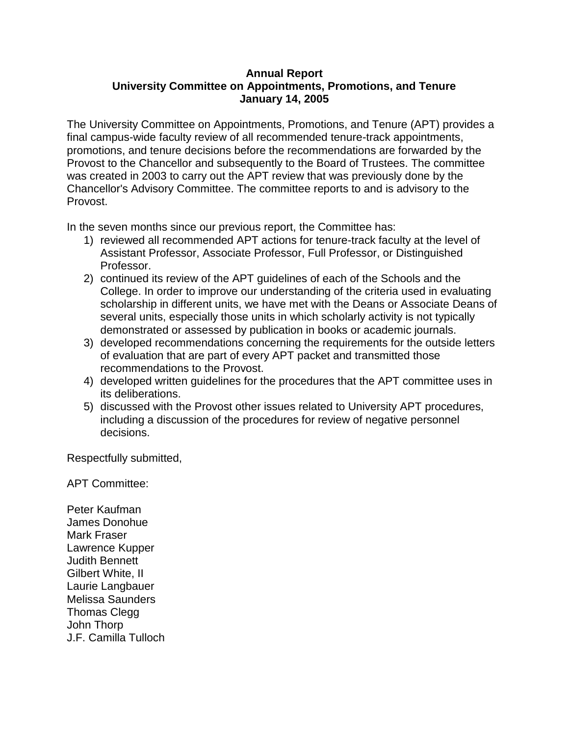## **Annual Report University Committee on Appointments, Promotions, and Tenure January 14, 2005**

The University Committee on Appointments, Promotions, and Tenure (APT) provides a final campus-wide faculty review of all recommended tenure-track appointments, promotions, and tenure decisions before the recommendations are forwarded by the Provost to the Chancellor and subsequently to the Board of Trustees. The committee was created in 2003 to carry out the APT review that was previously done by the Chancellor's Advisory Committee. The committee reports to and is advisory to the Provost.

In the seven months since our previous report, the Committee has:

- 1) reviewed all recommended APT actions for tenure-track faculty at the level of Assistant Professor, Associate Professor, Full Professor, or Distinguished Professor.
- 2) continued its review of the APT guidelines of each of the Schools and the College. In order to improve our understanding of the criteria used in evaluating scholarship in different units, we have met with the Deans or Associate Deans of several units, especially those units in which scholarly activity is not typically demonstrated or assessed by publication in books or academic journals.
- 3) developed recommendations concerning the requirements for the outside letters of evaluation that are part of every APT packet and transmitted those recommendations to the Provost.
- 4) developed written guidelines for the procedures that the APT committee uses in its deliberations.
- 5) discussed with the Provost other issues related to University APT procedures, including a discussion of the procedures for review of negative personnel decisions.

Respectfully submitted,

APT Committee:

Peter Kaufman James Donohue Mark Fraser Lawrence Kupper Judith Bennett Gilbert White, II Laurie Langbauer Melissa Saunders Thomas Clegg John Thorp J.F. Camilla Tulloch